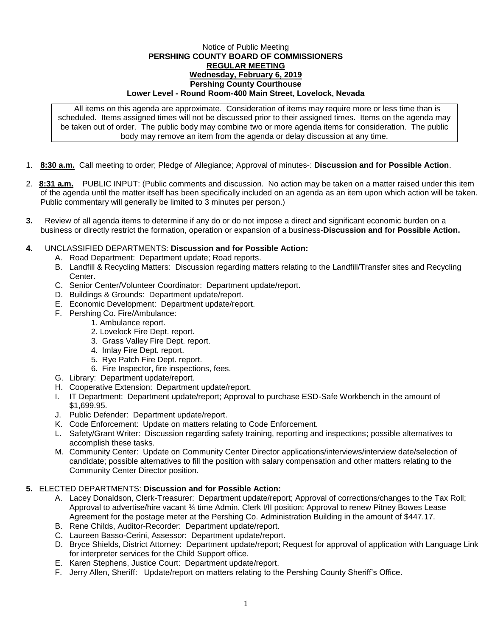## Notice of Public Meeting **PERSHING COUNTY BOARD OF COMMISSIONERS REGULAR MEETING Wednesday, February 6, 2019 Pershing County Courthouse Lower Level - Round Room-400 Main Street, Lovelock, Nevada**

All items on this agenda are approximate. Consideration of items may require more or less time than is scheduled. Items assigned times will not be discussed prior to their assigned times. Items on the agenda may be taken out of order. The public body may combine two or more agenda items for consideration. The public body may remove an item from the agenda or delay discussion at any time.

- 1. **8:30 a.m.** Call meeting to order; Pledge of Allegiance; Approval of minutes-: **Discussion and for Possible Action**.
- 2. **8:31 a.m.** PUBLIC INPUT: (Public comments and discussion. No action may be taken on a matter raised under this item of the agenda until the matter itself has been specifically included on an agenda as an item upon which action will be taken. Public commentary will generally be limited to 3 minutes per person.)
- **3.** Review of all agenda items to determine if any do or do not impose a direct and significant economic burden on a business or directly restrict the formation, operation or expansion of a business-**Discussion and for Possible Action.**
- **4.** UNCLASSIFIED DEPARTMENTS: **Discussion and for Possible Action:**
	- A. Road Department: Department update; Road reports.
	- B. Landfill & Recycling Matters: Discussion regarding matters relating to the Landfill/Transfer sites and Recycling Center.
	- C. Senior Center/Volunteer Coordinator: Department update/report.
	- D. Buildings & Grounds: Department update/report.
	- E. Economic Development: Department update/report.
	- F. Pershing Co. Fire/Ambulance:
		- 1. Ambulance report.
		- 2. Lovelock Fire Dept. report.
		- 3. Grass Valley Fire Dept. report.
		- 4. Imlay Fire Dept. report.
		- 5. Rye Patch Fire Dept. report.
		- 6. Fire Inspector, fire inspections, fees.
	- G. Library: Department update/report.
	- H. Cooperative Extension: Department update/report.
	- I. IT Department: Department update/report; Approval to purchase ESD-Safe Workbench in the amount of \$1,699.95.
	- J. Public Defender: Department update/report.
	- K. Code Enforcement: Update on matters relating to Code Enforcement.
	- L. Safety/Grant Writer: Discussion regarding safety training, reporting and inspections; possible alternatives to accomplish these tasks.
	- M. Community Center: Update on Community Center Director applications/interviews/interview date/selection of candidate; possible alternatives to fill the position with salary compensation and other matters relating to the Community Center Director position.

## **5.** ELECTED DEPARTMENTS: **Discussion and for Possible Action:**

- A. Lacey Donaldson, Clerk-Treasurer: Department update/report; Approval of corrections/changes to the Tax Roll; Approval to advertise/hire vacant ¾ time Admin. Clerk I/II position; Approval to renew Pitney Bowes Lease Agreement for the postage meter at the Pershing Co. Administration Building in the amount of \$447.17.
- B. Rene Childs, Auditor-Recorder: Department update/report.
- C. Laureen Basso-Cerini, Assessor: Department update/report.
- D. Bryce Shields, District Attorney: Department update/report; Request for approval of application with Language Link for interpreter services for the Child Support office.
- E. Karen Stephens, Justice Court: Department update/report.
- F. Jerry Allen, Sheriff: Update/report on matters relating to the Pershing County Sheriff's Office.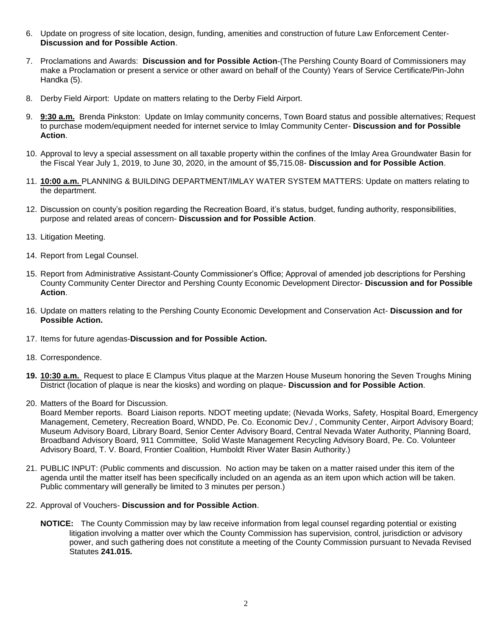- 6. Update on progress of site location, design, funding, amenities and construction of future Law Enforcement Center-**Discussion and for Possible Action**.
- 7. Proclamations and Awards: **Discussion and for Possible Action**-(The Pershing County Board of Commissioners may make a Proclamation or present a service or other award on behalf of the County) Years of Service Certificate/Pin-John Handka (5).
- 8. Derby Field Airport: Update on matters relating to the Derby Field Airport.
- 9. **9:30 a.m.** Brenda Pinkston: Update on Imlay community concerns, Town Board status and possible alternatives; Request to purchase modem/equipment needed for internet service to Imlay Community Center- **Discussion and for Possible Action**.
- 10. Approval to levy a special assessment on all taxable property within the confines of the Imlay Area Groundwater Basin for the Fiscal Year July 1, 2019, to June 30, 2020, in the amount of \$5,715.08- **Discussion and for Possible Action**.
- 11. **10:00 a.m.** PLANNING & BUILDING DEPARTMENT/IMLAY WATER SYSTEM MATTERS: Update on matters relating to the department.
- 12. Discussion on county's position regarding the Recreation Board, it's status, budget, funding authority, responsibilities, purpose and related areas of concern- **Discussion and for Possible Action**.
- 13. Litigation Meeting.
- 14. Report from Legal Counsel.
- 15. Report from Administrative Assistant-County Commissioner's Office; Approval of amended job descriptions for Pershing County Community Center Director and Pershing County Economic Development Director- **Discussion and for Possible Action**.
- 16. Update on matters relating to the Pershing County Economic Development and Conservation Act- **Discussion and for Possible Action.**
- 17. Items for future agendas-**Discussion and for Possible Action.**
- 18. Correspondence.
- **19. 10:30 a.m.** Request to place E Clampus Vitus plaque at the Marzen House Museum honoring the Seven Troughs Mining District (location of plaque is near the kiosks) and wording on plaque- **Discussion and for Possible Action**.
- 20. Matters of the Board for Discussion.
	- Board Member reports. Board Liaison reports. NDOT meeting update; (Nevada Works, Safety, Hospital Board, Emergency Management, Cemetery, Recreation Board, WNDD, Pe. Co. Economic Dev./ , Community Center, Airport Advisory Board; Museum Advisory Board, Library Board, Senior Center Advisory Board, Central Nevada Water Authority, Planning Board, Broadband Advisory Board, 911 Committee, Solid Waste Management Recycling Advisory Board, Pe. Co. Volunteer Advisory Board, T. V. Board, Frontier Coalition, Humboldt River Water Basin Authority.)
- 21. PUBLIC INPUT: (Public comments and discussion. No action may be taken on a matter raised under this item of the agenda until the matter itself has been specifically included on an agenda as an item upon which action will be taken. Public commentary will generally be limited to 3 minutes per person.)
- 22. Approval of Vouchers- **Discussion and for Possible Action**.
	- **NOTICE:** The County Commission may by law receive information from legal counsel regarding potential or existing litigation involving a matter over which the County Commission has supervision, control, jurisdiction or advisory power, and such gathering does not constitute a meeting of the County Commission pursuant to Nevada Revised Statutes **241.015.**